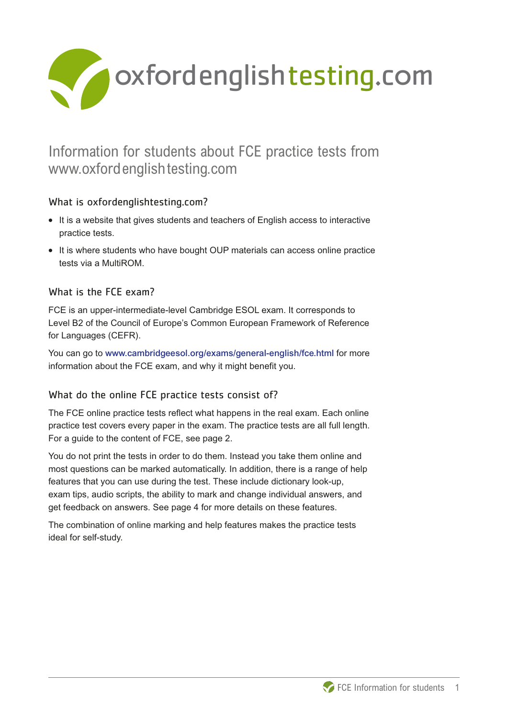

# Information for students about FCE practice tests from www.oxfordenglishtesting.com

## What is oxfordenglishtesting.com?

- **What is oxfordenglishtesting.com?**<br>• It is a website that gives students and teachers of English access to interactive practice tests.
- **•** It is where students who have bought OUP materials can access online practice tests via a MultiROM.

## What is the FCE exam?

FCE is an upper-intermediate-level Cambridge ESOL exam. It corresponds to Level B2 of the Council of Europe's Common European Framework of Reference for Languages (CEFR).

You can go to www.cambridgeesol.org/exams/general-english/fce.html for more information about the FCE exam, and why it might benefit you.

## What do the online FCE practice tests consist of?

The FCE online practice tests reflect what happens in the real exam. Each online practice test covers every paper in the exam. The practice tests are all full length. For a guide to the content of FCE, see page 2.

You do not print the tests in order to do them. Instead you take them online and most questions can be marked automatically. In addition, there is a range of help features that you can use during the test. These include dictionary look-up, exam tips, audio scripts, the ability to mark and change individual answers, and get feedback on answers. See page 4 for more details on these features.

The combination of online marking and help features makes the practice tests ideal for self-study.

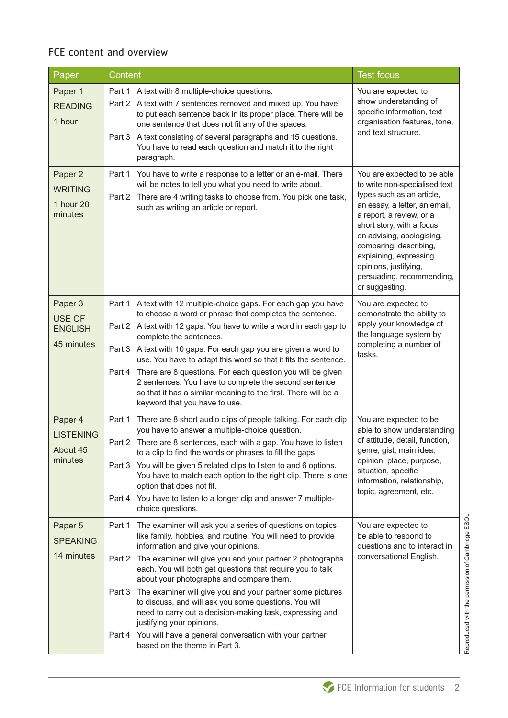## FCE content and overview

| Paper                                                    | Content                                                                                                                                                                                                                                                                                                                                                                                                                                                                                                                                                                                                                                                                                  | <b>Test focus</b>                                                                                                                                                                                                                                                                                                                            |
|----------------------------------------------------------|------------------------------------------------------------------------------------------------------------------------------------------------------------------------------------------------------------------------------------------------------------------------------------------------------------------------------------------------------------------------------------------------------------------------------------------------------------------------------------------------------------------------------------------------------------------------------------------------------------------------------------------------------------------------------------------|----------------------------------------------------------------------------------------------------------------------------------------------------------------------------------------------------------------------------------------------------------------------------------------------------------------------------------------------|
| Paper 1<br><b>READING</b><br>1 hour                      | Part 1 A text with 8 multiple-choice questions.<br>Part 2 A text with 7 sentences removed and mixed up. You have<br>to put each sentence back in its proper place. There will be<br>one sentence that does not fit any of the spaces.<br>Part 3 A text consisting of several paragraphs and 15 questions.<br>You have to read each question and match it to the right<br>paragraph.                                                                                                                                                                                                                                                                                                      | You are expected to<br>show understanding of<br>specific information, text<br>organisation features, tone,<br>and text structure.                                                                                                                                                                                                            |
| Paper 2<br><b>WRITING</b><br>1 hour 20<br>minutes        | You have to write a response to a letter or an e-mail. There<br>Part 1<br>will be notes to tell you what you need to write about.<br>There are 4 writing tasks to choose from. You pick one task,<br>Part 2<br>such as writing an article or report.                                                                                                                                                                                                                                                                                                                                                                                                                                     | You are expected to be able<br>to write non-specialised text<br>types such as an article,<br>an essay, a letter, an email,<br>a report, a review, or a<br>short story, with a focus<br>on advising, apologising,<br>comparing, describing,<br>explaining, expressing<br>opinions, justifying,<br>persuading, recommending,<br>or suggesting. |
| Paper 3<br><b>USE OF</b><br><b>ENGLISH</b><br>45 minutes | Part 1 A text with 12 multiple-choice gaps. For each gap you have<br>to choose a word or phrase that completes the sentence.<br>Part 2 A text with 12 gaps. You have to write a word in each gap to<br>complete the sentences.<br>Part 3 A text with 10 gaps. For each gap you are given a word to<br>use. You have to adapt this word so that it fits the sentence.<br>Part 4 There are 8 questions. For each question you will be given<br>2 sentences. You have to complete the second sentence<br>so that it has a similar meaning to the first. There will be a<br>keyword that you have to use.                                                                                    | You are expected to<br>demonstrate the ability to<br>apply your knowledge of<br>the language system by<br>completing a number of<br>tasks.                                                                                                                                                                                                   |
| Paper 4<br><b>LISTENING</b><br>About 45<br>minutes       | Part 1<br>There are 8 short audio clips of people talking. For each clip<br>you have to answer a multiple-choice question.<br>Part 2 There are 8 sentences, each with a gap. You have to listen<br>to a clip to find the words or phrases to fill the gaps.<br>You will be given 5 related clips to listen to and 6 options.<br>Part 3<br>You have to match each option to the right clip. There is one<br>option that does not fit.<br>You have to listen to a longer clip and answer 7 multiple-<br>Part 4<br>choice questions.                                                                                                                                                        | You are expected to be<br>able to show understanding<br>of attitude, detail, function,<br>genre, gist, main idea,<br>opinion, place, purpose,<br>situation, specific<br>information, relationship,<br>topic, agreement, etc.                                                                                                                 |
| Paper 5<br><b>SPEAKING</b><br>14 minutes                 | The examiner will ask you a series of questions on topics<br>Part 1<br>like family, hobbies, and routine. You will need to provide<br>information and give your opinions.<br>The examiner will give you and your partner 2 photographs<br>Part 2<br>each. You will both get questions that require you to talk<br>about your photographs and compare them.<br>The examiner will give you and your partner some pictures<br>Part 3<br>to discuss, and will ask you some questions. You will<br>need to carry out a decision-making task, expressing and<br>justifying your opinions.<br>You will have a general conversation with your partner<br>Part 4<br>based on the theme in Part 3. | You are expected to<br>be able to respond to<br>questions and to interact in<br>conversational English.                                                                                                                                                                                                                                      |

Reproduced with the permission of Cambridge ESOL Reproduced with the permission of Cambridge ESOL

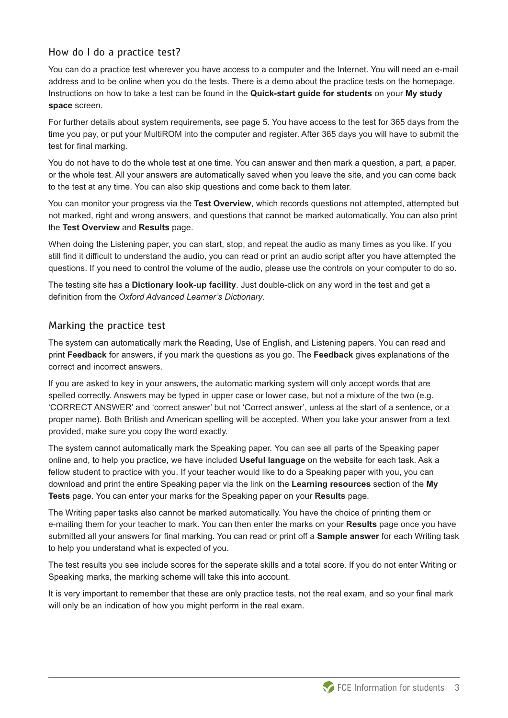#### How do I do a practice test?

You can do a practice test wherever you have access to a computer and the Internet. You will need an e-mail address and to be online when you do the tests. There is a demo about the practice tests on the homepage. Instructions on how to take a test can be found in the **Quick-start guide for students** on your **My study space** screen.

For further details about system requirements, see page 5. You have access to the test for 365 days from the time you pay, or put your MultiROM into the computer and register. After 365 days you will have to submit the test for final marking.

You do not have to do the whole test at one time. You can answer and then mark a question, a part, a paper, or the whole test. All your answers are automatically saved when you leave the site, and you can come back to the test at any time. You can also skip questions and come back to them later.

You can monitor your progress via the **Test Overview**, which records questions not attempted, attempted but not marked, right and wrong answers, and questions that cannot be marked automatically. You can also print the **Test Overview** and **Results** page.

When doing the Listening paper, you can start, stop, and repeat the audio as many times as you like. If you still find it difficult to understand the audio, you can read or print an audio script after you have attempted the questions. If you need to control the volume of the audio, please use the controls on your computer to do so.

The testing site has a **Dictionary look-up facility**. Just double-click on any word in the test and get a definition from the *Oxford Advanced Learner's Dictionary*.

#### Marking the practice test

The system can automatically mark the Reading, Use of English, and Listening papers. You can read and print **Feedback** for answers, if you mark the questions as you go. The **Feedback** gives explanations of the correct and incorrect answers.

If you are asked to key in your answers, the automatic marking system will only accept words that are spelled correctly. Answers may be typed in upper case or lower case, but not a mixture of the two (e.g. 'CORRECT ANSWER' and 'correct answer' but not 'Correct answer', unless at the start of a sentence, or a proper name). Both British and American spelling will be accepted. When you take your answer from a text provided, make sure you copy the word exactly.

The system cannot automatically mark the Speaking paper. You can see all parts of the Speaking paper online and, to help you practice, we have included **Useful language** on the website for each task. Ask a fellow student to practice with you. If your teacher would like to do a Speaking paper with you, you can download and print the entire Speaking paper via the link on the **Learning resources** section of the **My Tests** page. You can enter your marks for the Speaking paper on your **Results** page.

The Writing paper tasks also cannot be marked automatically. You have the choice of printing them or e-mailing them for your teacher to mark. You can then enter the marks on your **Results** page once you have submitted all your answers for final marking. You can read or print off a **Sample answer** for each Writing task to help you understand what is expected of you.

The test results you see include scores for the seperate skills and a total score. If you do not enter Writing or Speaking marks, the marking scheme will take this into account.

It is very important to remember that these are only practice tests, not the real exam, and so your final mark will only be an indication of how you might perform in the real exam.

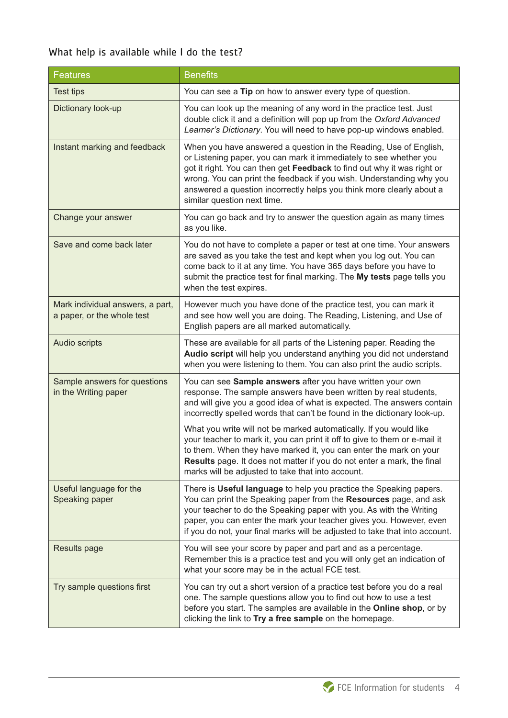## What help is available while I do the test?

| <b>Features</b>                                                | <b>Benefits</b>                                                                                                                                                                                                                                                                                                                                                                                   |  |
|----------------------------------------------------------------|---------------------------------------------------------------------------------------------------------------------------------------------------------------------------------------------------------------------------------------------------------------------------------------------------------------------------------------------------------------------------------------------------|--|
| <b>Test tips</b>                                               | You can see a Tip on how to answer every type of question.                                                                                                                                                                                                                                                                                                                                        |  |
| Dictionary look-up                                             | You can look up the meaning of any word in the practice test. Just<br>double click it and a definition will pop up from the Oxford Advanced<br>Learner's Dictionary. You will need to have pop-up windows enabled.                                                                                                                                                                                |  |
| Instant marking and feedback                                   | When you have answered a question in the Reading, Use of English,<br>or Listening paper, you can mark it immediately to see whether you<br>got it right. You can then get Feedback to find out why it was right or<br>wrong. You can print the feedback if you wish. Understanding why you<br>answered a question incorrectly helps you think more clearly about a<br>similar question next time. |  |
| Change your answer                                             | You can go back and try to answer the question again as many times<br>as you like.                                                                                                                                                                                                                                                                                                                |  |
| Save and come back later                                       | You do not have to complete a paper or test at one time. Your answers<br>are saved as you take the test and kept when you log out. You can<br>come back to it at any time. You have 365 days before you have to<br>submit the practice test for final marking. The My tests page tells you<br>when the test expires.                                                                              |  |
| Mark individual answers, a part,<br>a paper, or the whole test | However much you have done of the practice test, you can mark it<br>and see how well you are doing. The Reading, Listening, and Use of<br>English papers are all marked automatically.                                                                                                                                                                                                            |  |
| Audio scripts                                                  | These are available for all parts of the Listening paper. Reading the<br>Audio script will help you understand anything you did not understand<br>when you were listening to them. You can also print the audio scripts.                                                                                                                                                                          |  |
| Sample answers for questions<br>in the Writing paper           | You can see Sample answers after you have written your own<br>response. The sample answers have been written by real students,<br>and will give you a good idea of what is expected. The answers contain<br>incorrectly spelled words that can't be found in the dictionary look-up.<br>What you write will not be marked automatically. If you would like                                        |  |
|                                                                | your teacher to mark it, you can print it off to give to them or e-mail it<br>to them. When they have marked it, you can enter the mark on your<br>Results page. It does not matter if you do not enter a mark, the final<br>marks will be adjusted to take that into account.                                                                                                                    |  |
| Useful language for the<br>Speaking paper                      | There is Useful language to help you practice the Speaking papers.<br>You can print the Speaking paper from the Resources page, and ask<br>your teacher to do the Speaking paper with you. As with the Writing<br>paper, you can enter the mark your teacher gives you. However, even<br>if you do not, your final marks will be adjusted to take that into account.                              |  |
| <b>Results page</b>                                            | You will see your score by paper and part and as a percentage.<br>Remember this is a practice test and you will only get an indication of<br>what your score may be in the actual FCE test.                                                                                                                                                                                                       |  |
| Try sample questions first                                     | You can try out a short version of a practice test before you do a real<br>one. The sample questions allow you to find out how to use a test<br>before you start. The samples are available in the Online shop, or by<br>clicking the link to Try a free sample on the homepage.                                                                                                                  |  |